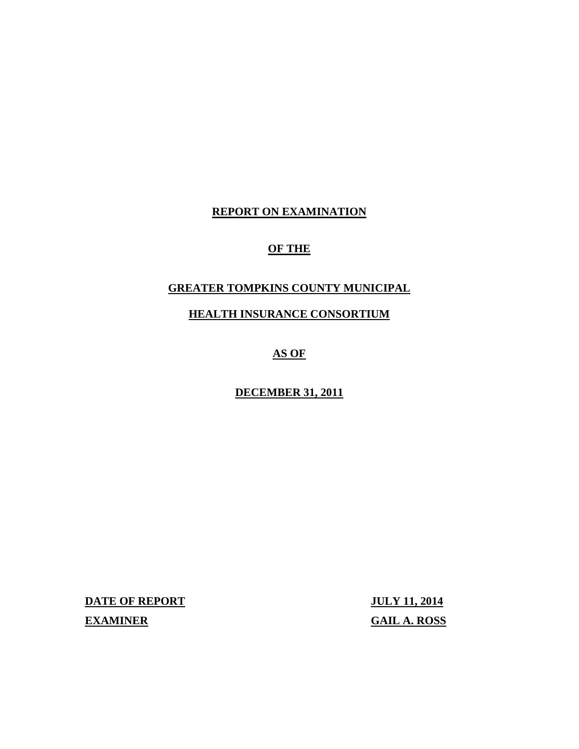# **REPORT ON EXAMINATION**

# **OF THE**

# **GREATER TOMPKINS COUNTY MUNICIPAL**

# **HEALTH INSURANCE CONSORTIUM**

# **AS OF**

## **DECEMBER 31, 2011**

**DATE OF REPORT JULY 11, 2014** 

**EXAMINER GAIL A. ROSS**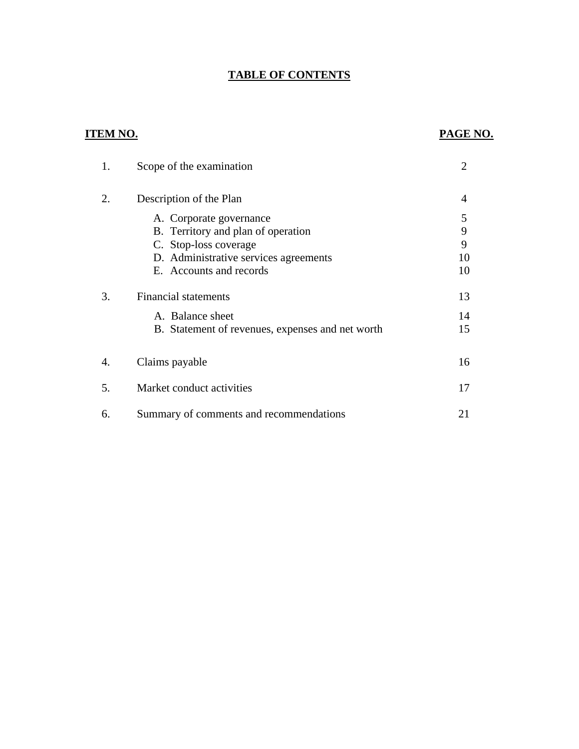# **TABLE OF CONTENTS**

# **ITEM NO. PAGE NO.**

| 1. | Scope of the examination                         | $\overline{2}$ |
|----|--------------------------------------------------|----------------|
| 2. | Description of the Plan                          | 4              |
|    | A. Corporate governance                          | 5              |
|    | B. Territory and plan of operation               | 9              |
|    | C. Stop-loss coverage                            | 9              |
|    | D. Administrative services agreements            | 10             |
|    | E. Accounts and records                          | 10             |
| 3. | <b>Financial statements</b>                      | 13             |
|    | A. Balance sheet                                 | 14             |
|    | B. Statement of revenues, expenses and net worth | 15             |
| 4. | Claims payable                                   | 16             |
|    |                                                  |                |
| 5. | Market conduct activities                        | 17             |
| 6. | Summary of comments and recommendations          | 21             |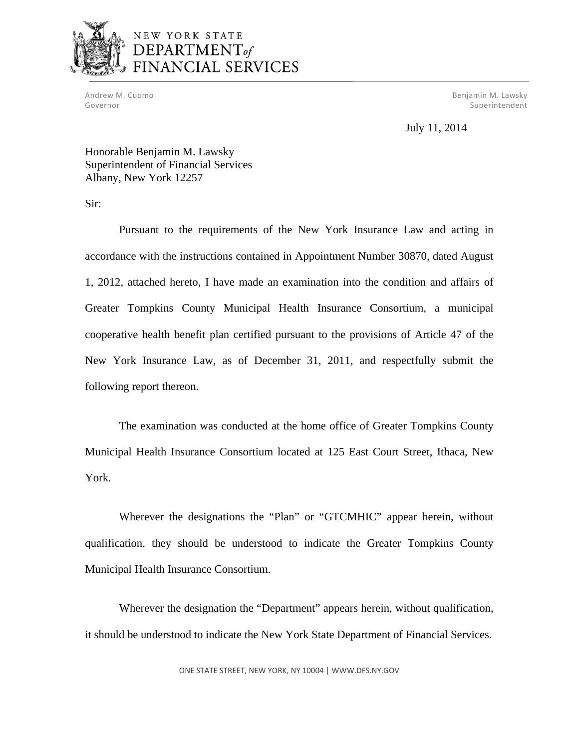

# NEW YORK STATE DEPARTMENT<sub>of</sub> FINANCIAL SERVICES

Andrew M. Cuomo Governor

M. Cuomo **Benjamin M. Lawsky** Superintendent

July 11, 2014

Honorable Benjamin M. Lawsky Superintendent of Financial Services Albany, New York 12257

Sir:

Pursuant to the requirements of the New York Insurance Law and acting in accordance with the instructions contained in Appointment Number 30870, dated August 1, 2012, attached hereto, I have made an examination into the condition and affairs of Greater Tompkins County Municipal Health Insurance Consortium, a municipal cooperative health benefit plan certified pursuant to the provisions of Article 47 of the New York Insurance Law, as of December 31, 2011, and respectfully submit the following report thereon.

The examination was conducted at the home office of Greater Tompkins County Municipal Health Insurance Consortium located at 125 East Court Street, Ithaca, New York.

Wherever the designations the "Plan" or "GTCMHIC" appear herein, without qualification, they should be understood to indicate the Greater Tompkins County Municipal Health Insurance Consortium.

Wherever the designation the "Department" appears herein, without qualification, it should be understood to indicate the New York State Department of Financial Services.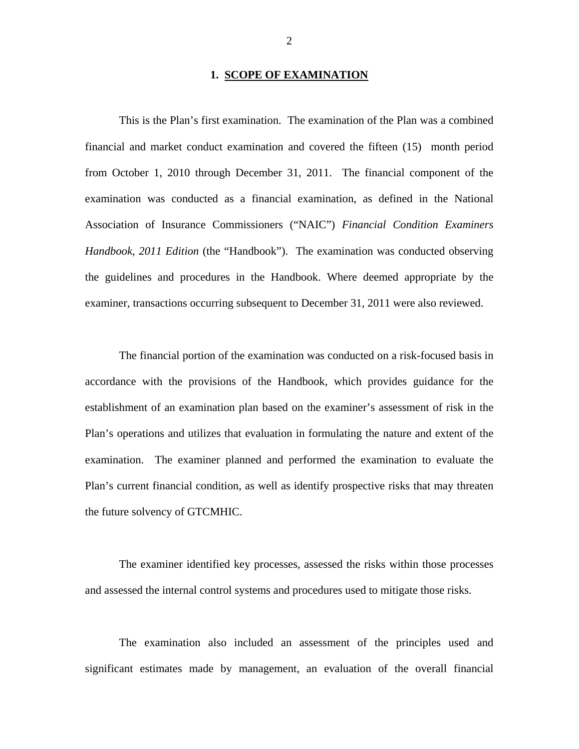### **1. SCOPE OF EXAMINATION**

This is the Plan's first examination. The examination of the Plan was a combined financial and market conduct examination and covered the fifteen (15) month period from October 1, 2010 through December 31, 2011. The financial component of the examination was conducted as a financial examination, as defined in the National Association of Insurance Commissioners ("NAIC") *Financial Condition Examiners Handbook, 2011 Edition* (the "Handbook"). The examination was conducted observing the guidelines and procedures in the Handbook. Where deemed appropriate by the examiner, transactions occurring subsequent to December 31, 2011 were also reviewed.

The financial portion of the examination was conducted on a risk-focused basis in accordance with the provisions of the Handbook, which provides guidance for the establishment of an examination plan based on the examiner's assessment of risk in the Plan's operations and utilizes that evaluation in formulating the nature and extent of the examination. The examiner planned and performed the examination to evaluate the Plan's current financial condition, as well as identify prospective risks that may threaten the future solvency of GTCMHIC.

The examiner identified key processes, assessed the risks within those processes and assessed the internal control systems and procedures used to mitigate those risks.

The examination also included an assessment of the principles used and significant estimates made by management, an evaluation of the overall financial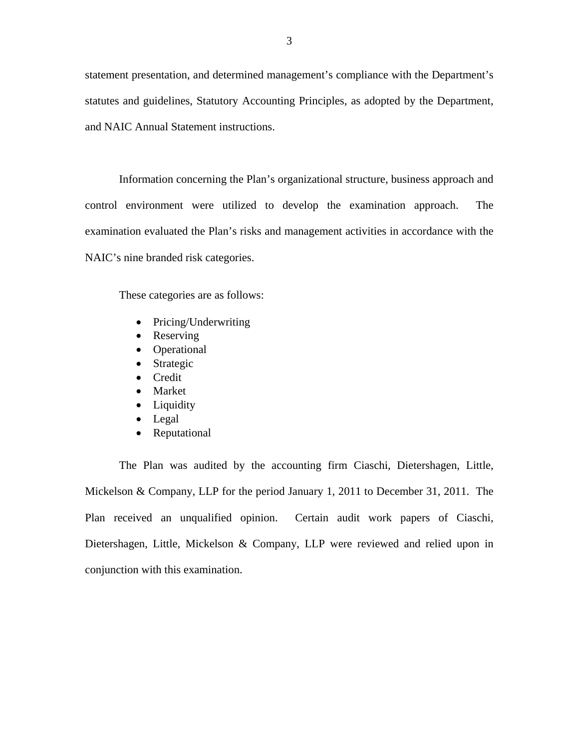statement presentation, and determined management's compliance with the Department's statutes and guidelines, Statutory Accounting Principles, as adopted by the Department, and NAIC Annual Statement instructions.

Information concerning the Plan's organizational structure, business approach and control environment were utilized to develop the examination approach. The examination evaluated the Plan's risks and management activities in accordance with the NAIC's nine branded risk categories.

These categories are as follows:

- Pricing/Underwriting
- Reserving
- Operational
- Strategic
- **•** Credit
- Market
- Liquidity
- Legal
- Reputational

The Plan was audited by the accounting firm Ciaschi, Dietershagen, Little, Mickelson & Company, LLP for the period January 1, 2011 to December 31, 2011. The Plan received an unqualified opinion. Certain audit work papers of Ciaschi, Dietershagen, Little, Mickelson & Company, LLP were reviewed and relied upon in conjunction with this examination.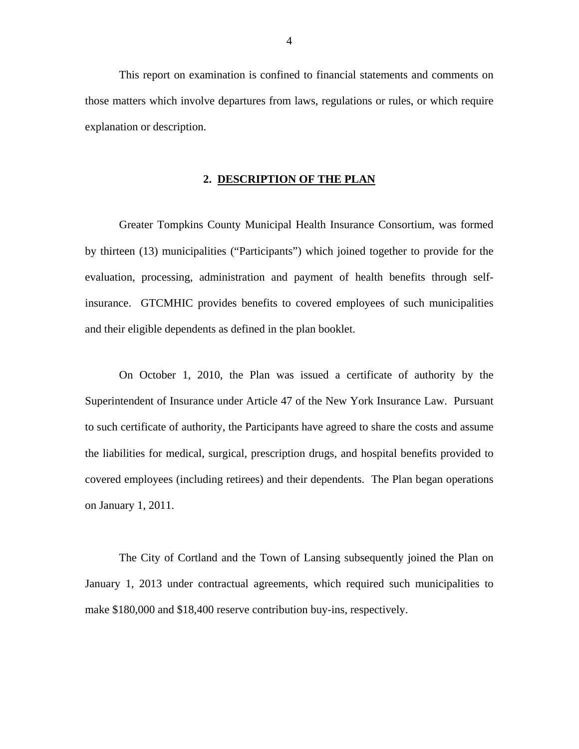<span id="page-5-0"></span>This report on examination is confined to financial statements and comments on those matters which involve departures from laws, regulations or rules, or which require explanation or description.

### **2. DESCRIPTION OF THE PLAN**

Greater Tompkins County Municipal Health Insurance Consortium, was formed by thirteen (13) municipalities ("Participants") which joined together to provide for the evaluation, processing, administration and payment of health benefits through selfinsurance. GTCMHIC provides benefits to covered employees of such municipalities and their eligible dependents as defined in the plan booklet.

On October 1, 2010, the Plan was issued a certificate of authority by the Superintendent of Insurance under Article 47 of the New York Insurance Law. Pursuant to such certificate of authority, the Participants have agreed to share the costs and assume the liabilities for medical, surgical, prescription drugs, and hospital benefits provided to covered employees (including retirees) and their dependents. The Plan began operations on January 1, 2011.

The City of Cortland and the Town of Lansing subsequently joined the Plan on January 1, 2013 under contractual agreements, which required such municipalities to make \$180,000 and \$18,400 reserve contribution buy-ins, respectively.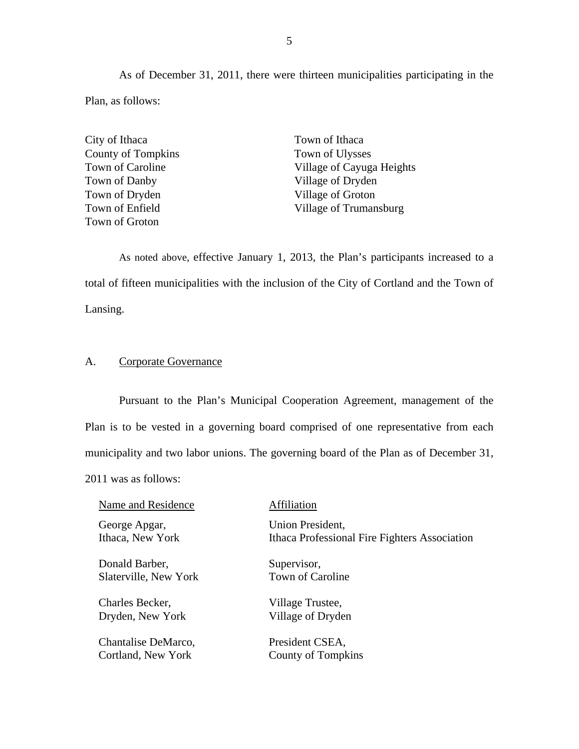As of December 31, 2011, there were thirteen municipalities participating in the Plan, as follows:

City of Ithaca Town of Ithaca County of Tompkins Town of Ulysses Town of Danby Village of Dryden Town of Dryden Village of Groton Town of Groton

Town of Caroline Village of Cayuga Heights Town of Enfield Village of Trumansburg

As noted above, effective January 1, 2013, the Plan's participants increased to a total of fifteen municipalities with the inclusion of the City of Cortland and the Town of Lansing.

### A. Corporate Governance

Pursuant to the Plan's Municipal Cooperation Agreement, management of the Plan is to be vested in a governing board comprised of one representative from each municipality and two labor unions. The governing board of the Plan as of December 31, 2011 was as follows:

Name and Residence **Affiliation** 

George Apgar, Union President,

Donald Barber, Supervisor, Slaterville, New York Town of Caroline

Charles Becker, Village Trustee, Dryden, New York Village of Dryden

Chantalise DeMarco, President CSEA, Cortland, New York County of Tompkins

Ithaca, New York Ithaca Professional Fire Fighters Association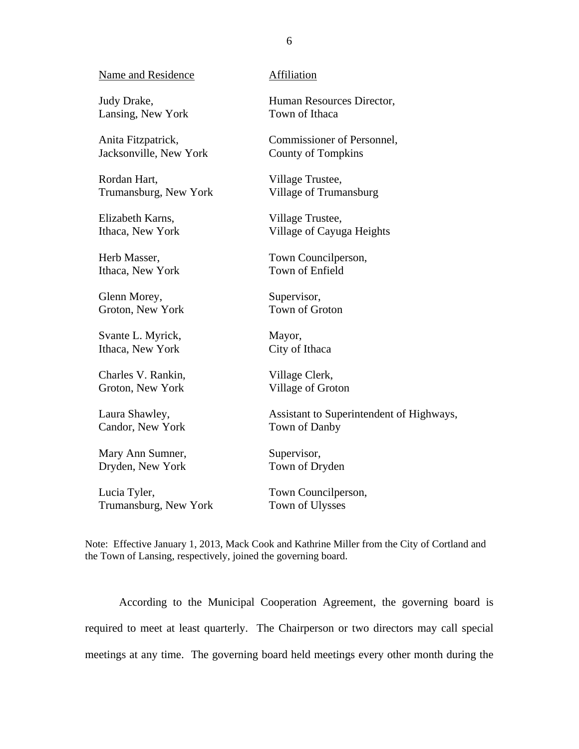### Name and Residence

Judy Drake, Lansing, New York

Anita Fitzpatrick, Jacksonville, New York

Rordan Hart, Trumansburg, New York

Elizabeth Karns, Ithaca, New York

Herb Masser, Ithaca, New York

Glenn Morey, Groton, New York

Svante L. Myrick, Ithaca, New York

Charles V. Rankin, Groton, New York

Laura Shawley, Candor, New York

Mary Ann Sumner, Dryden, New York

Lucia Tyler, Trumansburg, New York

### Affiliation

Human Resources Director, Town of Ithaca

Commissioner of Personnel, County of Tompkins

Village Trustee, Village of Trumansburg

Village Trustee, Village of Cayuga Heights

Town Councilperson, Town of Enfield

Supervisor, Town of Groton

Mayor, City of Ithaca

Village Clerk, Village of Groton

Assistant to Superintendent of Highways, Town of Danby

Supervisor, Town of Dryden

Town Councilperson, Town of Ulysses

Note: Effective January 1, 2013, Mack Cook and Kathrine Miller from the City of Cortland and the Town of Lansing, respectively, joined the governing board.

According to the Municipal Cooperation Agreement, the governing board is required to meet at least quarterly. The Chairperson or two directors may call special meetings at any time. The governing board held meetings every other month during the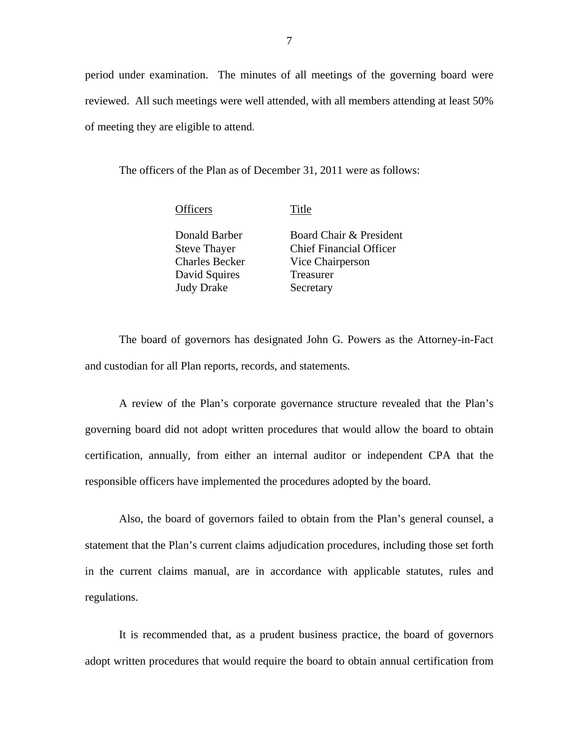period under examination. The minutes of all meetings of the governing board were reviewed. All such meetings were well attended, with all members attending at least 50% of meeting they are eligible to attend.

The officers of the Plan as of December 31, 2011 were as follows:

Officers Title

Donald Barber Steve Thayer Charles Becker David Squires Judy Drake

Board Chair & President Chief Financial Officer Vice Chairperson Treasurer Secretary

The board of governors has designated John G. Powers as the Attorney-in-Fact and custodian for all Plan reports, records, and statements.

A review of the Plan's corporate governance structure revealed that the Plan's governing board did not adopt written procedures that would allow the board to obtain certification, annually, from either an internal auditor or independent CPA that the responsible officers have implemented the procedures adopted by the board.

Also, the board of governors failed to obtain from the Plan's general counsel, a statement that the Plan's current claims adjudication procedures, including those set forth in the current claims manual, are in accordance with applicable statutes, rules and regulations.

It is recommended that, as a prudent business practice, the board of governors adopt written procedures that would require the board to obtain annual certification from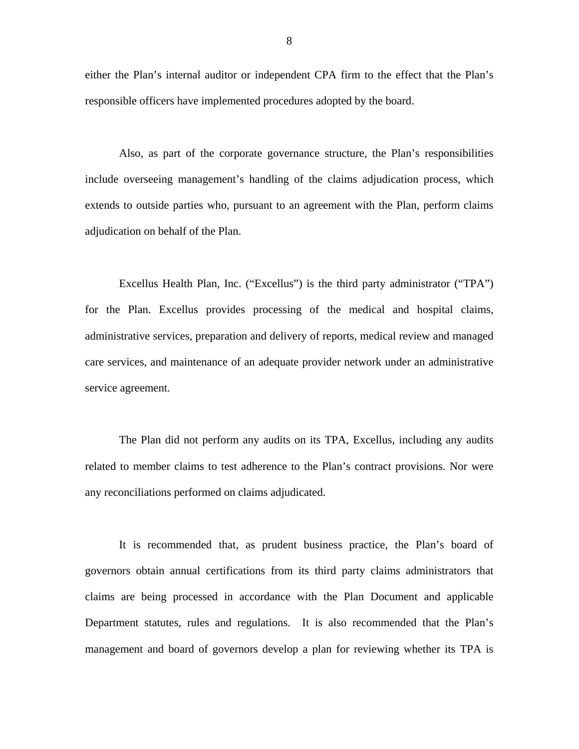either the Plan's internal auditor or independent CPA firm to the effect that the Plan's responsible officers have implemented procedures adopted by the board.

Also, as part of the corporate governance structure, the Plan's responsibilities include overseeing management's handling of the claims adjudication process, which extends to outside parties who, pursuant to an agreement with the Plan, perform claims adjudication on behalf of the Plan.

Excellus Health Plan, Inc. ("Excellus") is the third party administrator ("TPA") for the Plan. Excellus provides processing of the medical and hospital claims, administrative services, preparation and delivery of reports, medical review and managed care services, and maintenance of an adequate provider network under an administrative service agreement.

The Plan did not perform any audits on its TPA, Excellus, including any audits related to member claims to test adherence to the Plan's contract provisions. Nor were any reconciliations performed on claims adjudicated.

It is recommended that, as prudent business practice, the Plan's board of governors obtain annual certifications from its third party claims administrators that claims are being processed in accordance with the Plan Document and applicable Department statutes, rules and regulations. It is also recommended that the Plan's management and board of governors develop a plan for reviewing whether its TPA is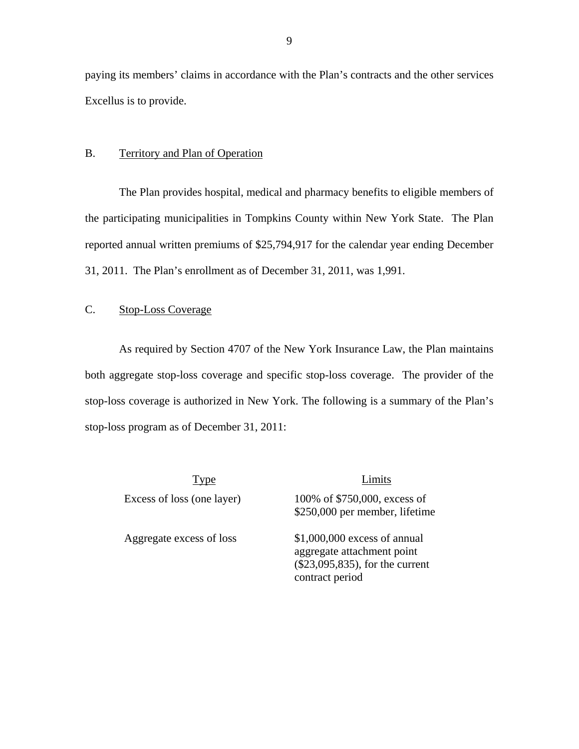<span id="page-10-0"></span>paying its members' claims in accordance with the Plan's contracts and the other services Excellus is to provide.

### B. Territory and Plan of Operation

The Plan provides hospital, medical and pharmacy benefits to eligible members of the participating municipalities in Tompkins County within New York State. The Plan reported annual written premiums of \$25,794,917 for the calendar year ending December 31, 2011. The Plan's enrollment as of December 31, 2011, was 1,991.

## C. Stop-Loss Coverage

As required by Section 4707 of the New York Insurance Law, the Plan maintains both aggregate stop-loss coverage and specific stop-loss coverage. The provider of the stop-loss coverage is authorized in New York. The following is a summary of the Plan's stop-loss program as of December 31, 2011:

Type Limits Excess of loss (one layer) 100% of \$750,000, excess of

\$250,000 per member, lifetime

Aggregate excess of loss \$1,000,000 excess of annual aggregate attachment point (\$23,095,835), for the current contract period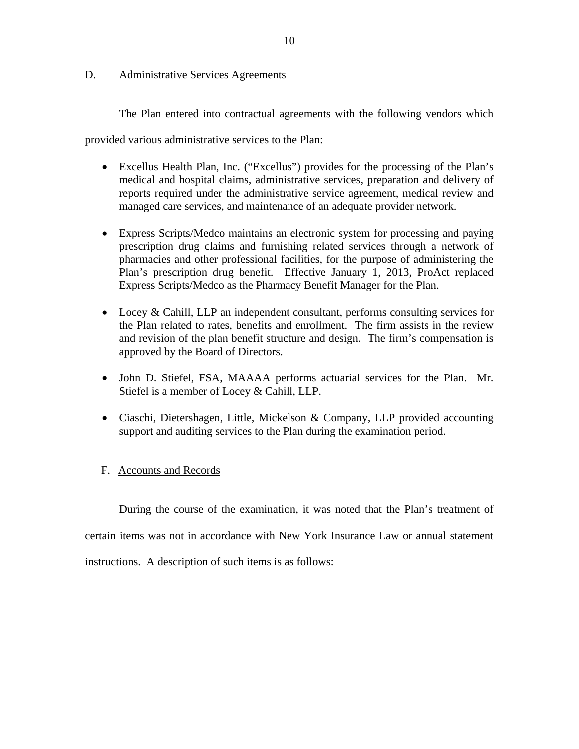### <span id="page-11-0"></span>D. Administrative Services Agreements

The Plan entered into contractual agreements with the following vendors which

provided various administrative services to the Plan:

- Excellus Health Plan, Inc. ("Excellus") provides for the processing of the Plan's medical and hospital claims, administrative services, preparation and delivery of reports required under the administrative service agreement, medical review and managed care services, and maintenance of an adequate provider network.
- Express Scripts/Medco maintains an electronic system for processing and paying prescription drug claims and furnishing related services through a network of pharmacies and other professional facilities, for the purpose of administering the Plan's prescription drug benefit. Effective January 1, 2013, ProAct replaced Express Scripts/Medco as the Pharmacy Benefit Manager for the Plan.
- Locey & Cahill, LLP an independent consultant, performs consulting services for the Plan related to rates, benefits and enrollment. The firm assists in the review and revision of the plan benefit structure and design. The firm's compensation is approved by the Board of Directors.
- John D. Stiefel, FSA, MAAAA performs actuarial services for the Plan. Mr. Stiefel is a member of Locey & Cahill, LLP.
- Ciaschi, Dietershagen, Little, Mickelson & Company, LLP provided accounting support and auditing services to the Plan during the examination period.

## F. Accounts and Records

During the course of the examination, it was noted that the Plan's treatment of certain items was not in accordance with New York Insurance Law or annual statement instructions. A description of such items is as follows: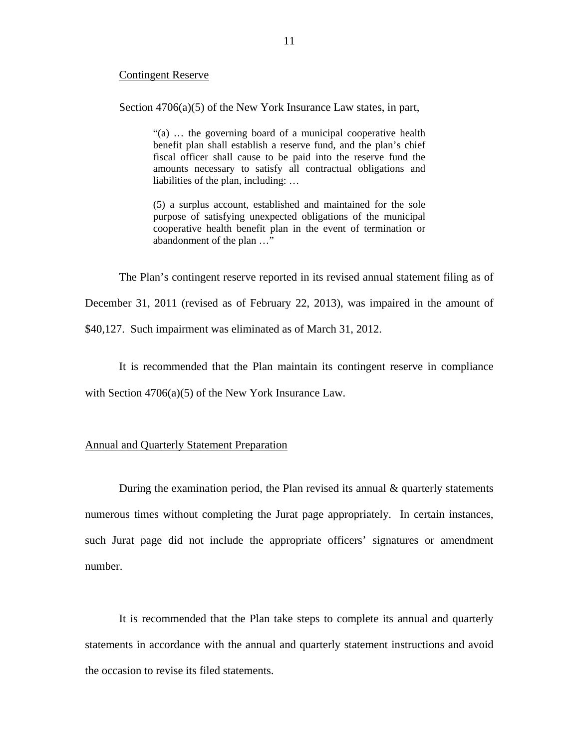### Contingent Reserve

Section 4706(a)(5) of the New York Insurance Law states, in part,

"(a) … the governing board of a municipal cooperative health benefit plan shall establish a reserve fund, and the plan's chief fiscal officer shall cause to be paid into the reserve fund the amounts necessary to satisfy all contractual obligations and liabilities of the plan, including: …

(5) a surplus account, established and maintained for the sole purpose of satisfying unexpected obligations of the municipal cooperative health benefit plan in the event of termination or abandonment of the plan …"

The Plan's contingent reserve reported in its revised annual statement filing as of

December 31, 2011 (revised as of February 22, 2013), was impaired in the amount of

\$40,127. Such impairment was eliminated as of March 31, 2012.

It is recommended that the Plan maintain its contingent reserve in compliance

with Section  $4706(a)(5)$  of the New York Insurance Law.

### Annual and Quarterly Statement Preparation

During the examination period, the Plan revised its annual  $\&$  quarterly statements numerous times without completing the Jurat page appropriately. In certain instances, such Jurat page did not include the appropriate officers' signatures or amendment number.

It is recommended that the Plan take steps to complete its annual and quarterly statements in accordance with the annual and quarterly statement instructions and avoid the occasion to revise its filed statements.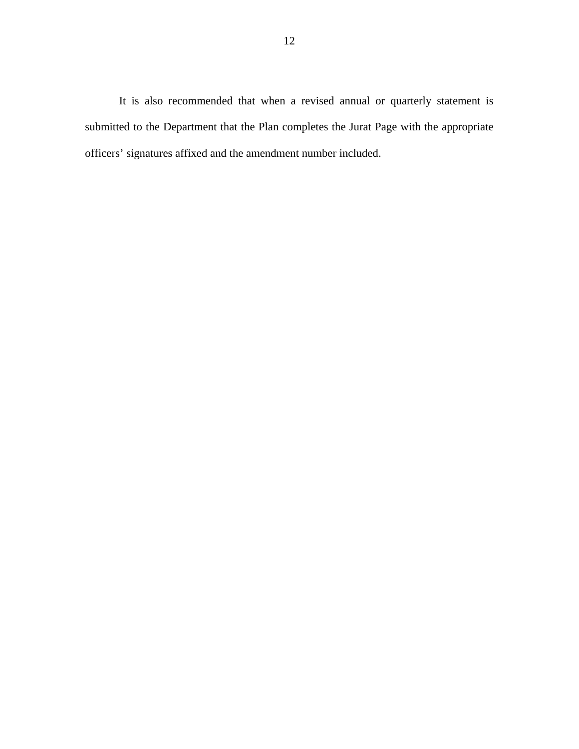It is also recommended that when a revised annual or quarterly statement is submitted to the Department that the Plan completes the Jurat Page with the appropriate officers' signatures affixed and the amendment number included.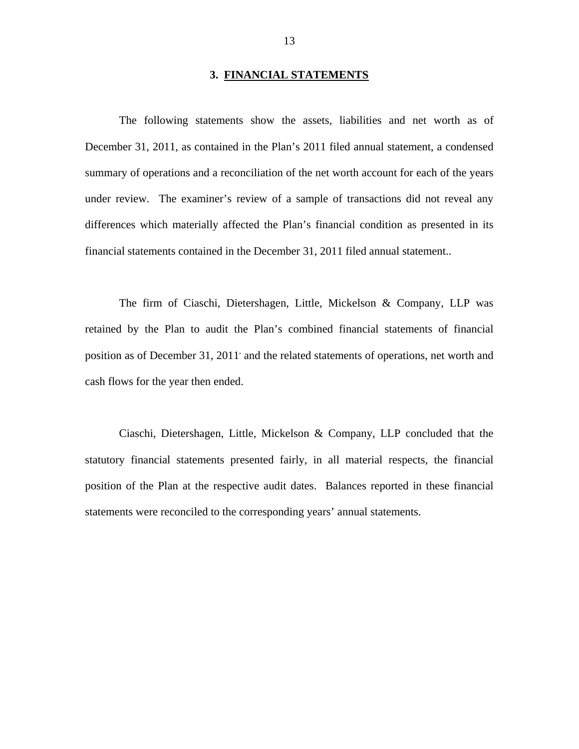### **3. FINANCIAL STATEMENTS**

<span id="page-14-0"></span>The following statements show the assets, liabilities and net worth as of December 31, 2011, as contained in the Plan's 2011 filed annual statement, a condensed summary of operations and a reconciliation of the net worth account for each of the years under review. The examiner's review of a sample of transactions did not reveal any differences which materially affected the Plan's financial condition as presented in its financial statements contained in the December 31, 2011 filed annual statement..

The firm of Ciaschi, Dietershagen, Little, Mickelson & Company, LLP was retained by the Plan to audit the Plan's combined financial statements of financial position as of December 31, 2011' and the related statements of operations, net worth and cash flows for the year then ended.

Ciaschi, Dietershagen, Little, Mickelson & Company, LLP concluded that the statutory financial statements presented fairly, in all material respects, the financial position of the Plan at the respective audit dates. Balances reported in these financial statements were reconciled to the corresponding years' annual statements.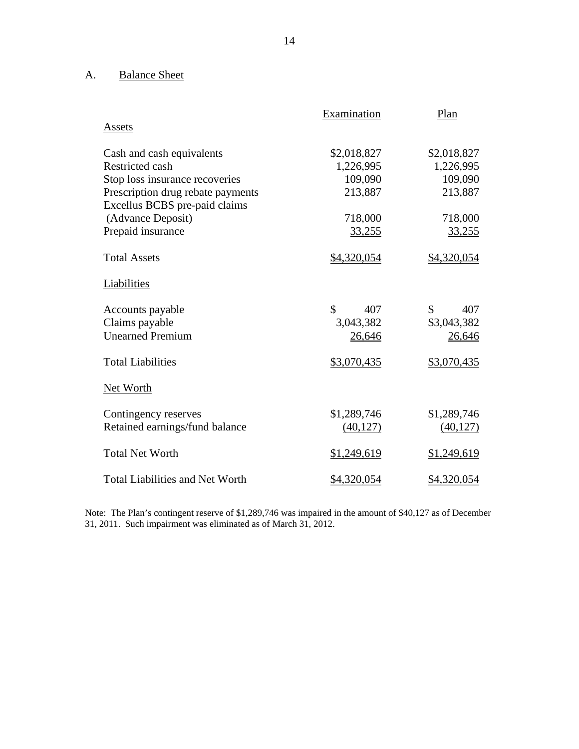# A. Balance Sheet

|                                                                    | Examination          | Plan               |
|--------------------------------------------------------------------|----------------------|--------------------|
| Assets                                                             |                      |                    |
| Cash and cash equivalents                                          | \$2,018,827          | \$2,018,827        |
| <b>Restricted cash</b>                                             | 1,226,995            | 1,226,995          |
| Stop loss insurance recoveries                                     | 109,090              | 109,090            |
| Prescription drug rebate payments<br>Excellus BCBS pre-paid claims | 213,887              | 213,887            |
| (Advance Deposit)                                                  | 718,000              | 718,000            |
| Prepaid insurance                                                  | 33,255               | 33,255             |
| <b>Total Assets</b>                                                | \$4,320,054          | \$4,320,054        |
| Liabilities                                                        |                      |                    |
| Accounts payable                                                   | $\mathcal{S}$<br>407 | \$<br>407          |
| Claims payable                                                     | 3,043,382            | \$3,043,382        |
| <b>Unearned Premium</b>                                            | 26,646               | 26,646             |
| <b>Total Liabilities</b>                                           | \$3,070,435          | \$3,070,435        |
| <b>Net Worth</b>                                                   |                      |                    |
| Contingency reserves                                               | \$1,289,746          | \$1,289,746        |
| Retained earnings/fund balance                                     | (40, 127)            | (40, 127)          |
| <b>Total Net Worth</b>                                             | \$1,249,619          | \$1,249,619        |
| <b>Total Liabilities and Net Worth</b>                             | <u>\$4,320,054</u>   | <u>\$4,320,054</u> |

 Note: The Plan's contingent reserve of \$1,289,746 was impaired in the amount of \$40,127 as of December 31, 2011. Such impairment was eliminated as of March 31, 2012.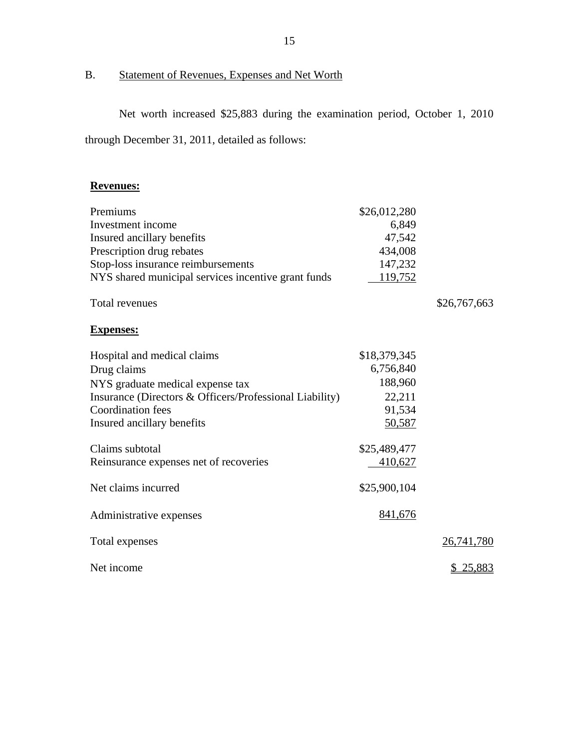# B. Statement of Revenues, Expenses and Net Worth

Net worth increased \$25,883 during the examination period, October 1, 2010 through December 31, 2011, detailed as follows:

# **Revenues:**

| Premiums                                                | \$26,012,280   |                 |
|---------------------------------------------------------|----------------|-----------------|
| Investment income                                       | 6,849          |                 |
| Insured ancillary benefits                              | 47,542         |                 |
| Prescription drug rebates                               | 434,008        |                 |
| Stop-loss insurance reimbursements                      | 147,232        |                 |
| NYS shared municipal services incentive grant funds     | 119,752        |                 |
| Total revenues                                          |                | \$26,767,663    |
| <b>Expenses:</b>                                        |                |                 |
| Hospital and medical claims                             | \$18,379,345   |                 |
| Drug claims                                             | 6,756,840      |                 |
| NYS graduate medical expense tax                        | 188,960        |                 |
| Insurance (Directors & Officers/Professional Liability) | 22,211         |                 |
| <b>Coordination</b> fees                                | 91,534         |                 |
| Insured ancillary benefits                              | 50,587         |                 |
| Claims subtotal                                         | \$25,489,477   |                 |
| Reinsurance expenses net of recoveries                  | <u>410,627</u> |                 |
| Net claims incurred                                     | \$25,900,104   |                 |
| Administrative expenses                                 | 841,676        |                 |
| Total expenses                                          |                | 26,741,780      |
| Net income                                              |                | <u>\$25,883</u> |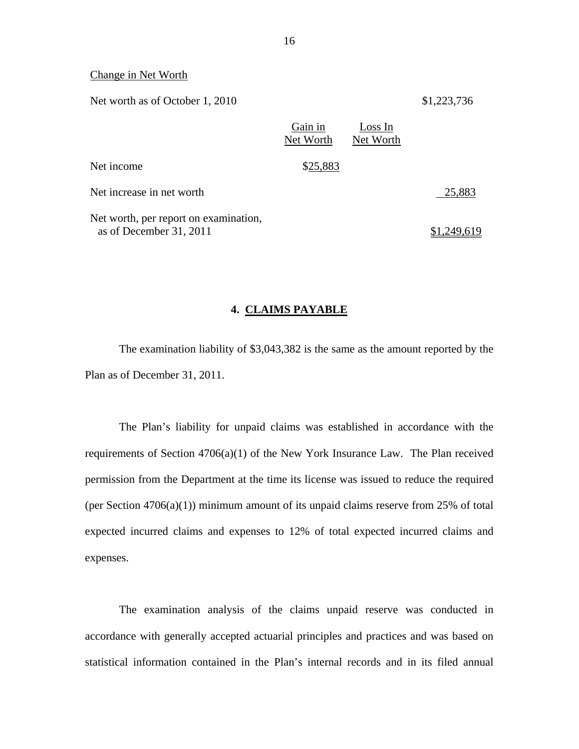### Change in Net Worth

Net worth as of October 1, 2010 \$1,223,736

|                                                                  | Gain in<br>Net Worth | Loss In<br>Net Worth |             |
|------------------------------------------------------------------|----------------------|----------------------|-------------|
| Net income                                                       | \$25,883             |                      |             |
| Net increase in net worth                                        |                      |                      | 25,883      |
| Net worth, per report on examination,<br>as of December 31, 2011 |                      |                      | \$1,249,619 |

### **4. CLAIMS PAYABLE**

The examination liability of \$3,043,382 is the same as the amount reported by the Plan as of December 31, 2011.

The Plan's liability for unpaid claims was established in accordance with the requirements of Section 4706(a)(1) of the New York Insurance Law. The Plan received permission from the Department at the time its license was issued to reduce the required (per Section  $4706(a)(1)$ ) minimum amount of its unpaid claims reserve from 25% of total expected incurred claims and expenses to 12% of total expected incurred claims and expenses.

The examination analysis of the claims unpaid reserve was conducted in accordance with generally accepted actuarial principles and practices and was based on statistical information contained in the Plan's internal records and in its filed annual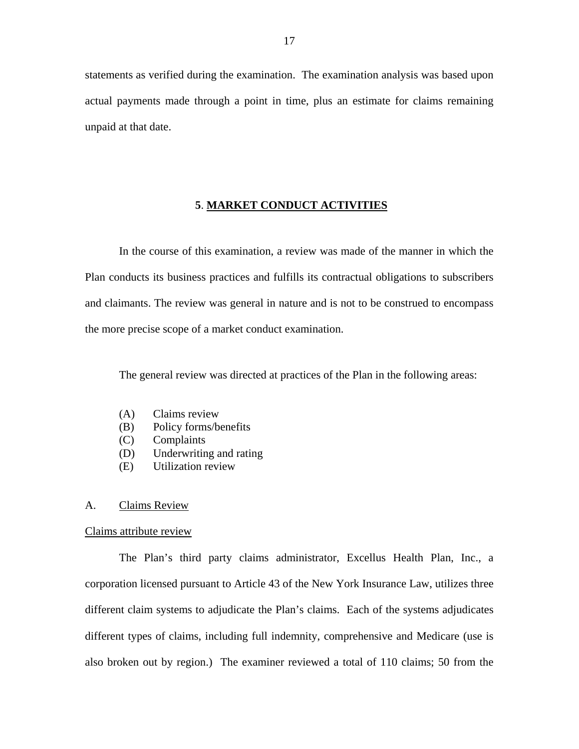<span id="page-18-0"></span>statements as verified during the examination. The examination analysis was based upon actual payments made through a point in time, plus an estimate for claims remaining unpaid at that date.

### **5**. **MARKET CONDUCT ACTIVITIES**

In the course of this examination, a review was made of the manner in which the Plan conducts its business practices and fulfills its contractual obligations to subscribers and claimants. The review was general in nature and is not to be construed to encompass the more precise scope of a market conduct examination.

The general review was directed at practices of the Plan in the following areas:

- (A) Claims review
- (B) Policy forms/benefits
- (C) Complaints
- (D) Underwriting and rating
- (E) Utilization review

### A. Claims Review

### Claims attribute review

The Plan's third party claims administrator, Excellus Health Plan, Inc., a corporation licensed pursuant to Article 43 of the New York Insurance Law, utilizes three different claim systems to adjudicate the Plan's claims. Each of the systems adjudicates different types of claims, including full indemnity, comprehensive and Medicare (use is also broken out by region.) The examiner reviewed a total of 110 claims; 50 from the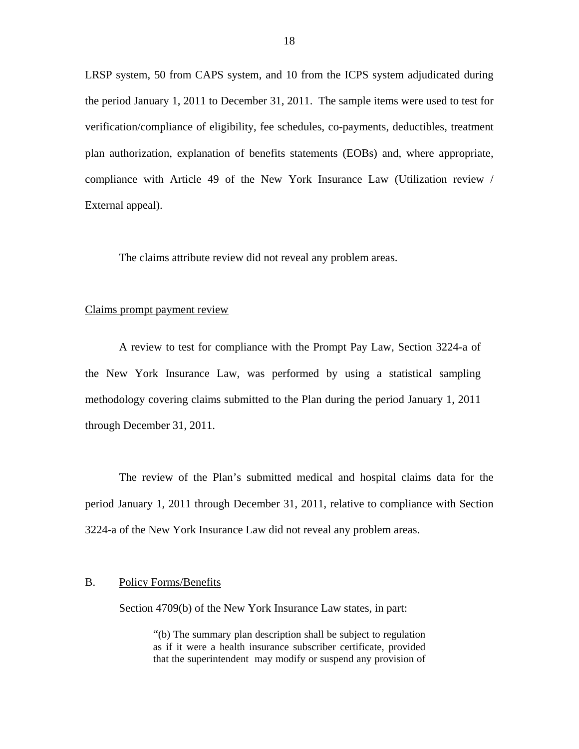LRSP system, 50 from CAPS system, and 10 from the ICPS system adjudicated during the period January 1, 2011 to December 31, 2011. The sample items were used to test for verification/compliance of eligibility, fee schedules, co-payments, deductibles, treatment plan authorization, explanation of benefits statements (EOBs) and, where appropriate, compliance with Article 49 of the New York Insurance Law (Utilization review / External appeal).

The claims attribute review did not reveal any problem areas.

### Claims prompt payment review

A review to test for compliance with the Prompt Pay Law, Section 3224-a of the New York Insurance Law, was performed by using a statistical sampling methodology covering claims submitted to the Plan during the period January 1, 2011 through December 31, 2011.

The review of the Plan's submitted medical and hospital claims data for the period January 1, 2011 through December 31, 2011, relative to compliance with Section 3224-a of the New York Insurance Law did not reveal any problem areas.

### B. Policy Forms/Benefits

Section 4709(b) of the New York Insurance Law states, in part:

"(b) The summary plan description shall be subject to regulation as if it were a health insurance subscriber certificate, provided that the superintendent may modify or suspend any provision of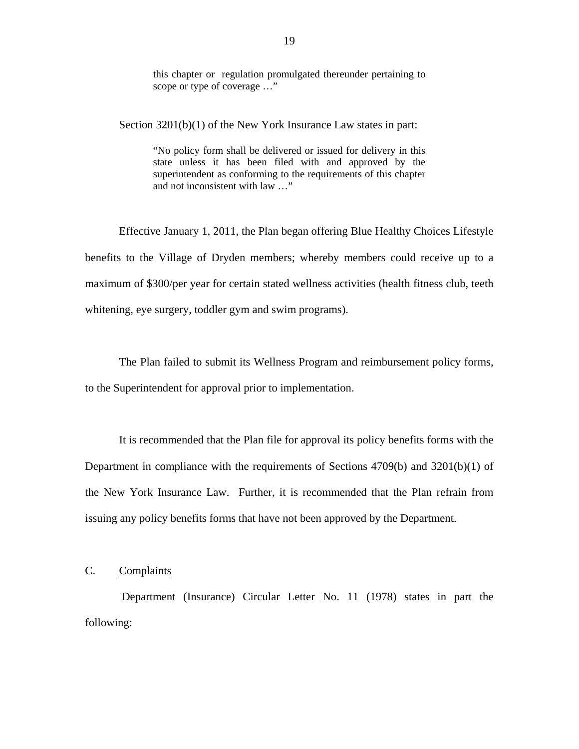this chapter or regulation promulgated thereunder pertaining to scope or type of coverage …"

Section 3201(b)(1) of the New York Insurance Law states in part:

"No policy form shall be delivered or issued for delivery in this state unless it has been filed with and approved by the superintendent as conforming to the requirements of this chapter and not inconsistent with law …"

Effective January 1, 2011, the Plan began offering Blue Healthy Choices Lifestyle benefits to the Village of Dryden members; whereby members could receive up to a maximum of \$300/per year for certain stated wellness activities (health fitness club, teeth whitening, eye surgery, toddler gym and swim programs).

The Plan failed to submit its Wellness Program and reimbursement policy forms, to the Superintendent for approval prior to implementation.

It is recommended that the Plan file for approval its policy benefits forms with the Department in compliance with the requirements of Sections 4709(b) and 3201(b)(1) of the New York Insurance Law. Further, it is recommended that the Plan refrain from issuing any policy benefits forms that have not been approved by the Department.

### C. Complaints

Department (Insurance) Circular Letter No. 11 (1978) states in part the following: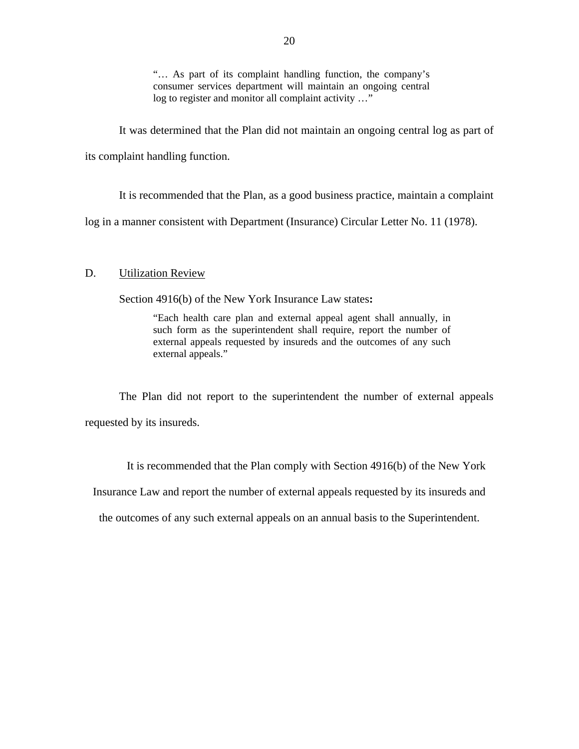"… As part of its complaint handling function, the company's consumer services department will maintain an ongoing central log to register and monitor all complaint activity …"

It was determined that the Plan did not maintain an ongoing central log as part of its complaint handling function.

It is recommended that the Plan, as a good business practice, maintain a complaint

log in a manner consistent with Department (Insurance) Circular Letter No. 11 (1978).

### D. Utilization Review

Section 4916(b) of the New York Insurance Law states**:** 

"Each health care plan and external appeal agent shall annually, in such form as the superintendent shall require, report the number of external appeals requested by insureds and the outcomes of any such external appeals."

The Plan did not report to the superintendent the number of external appeals requested by its insureds.

It is recommended that the Plan comply with Section 4916(b) of the New York

Insurance Law and report the number of external appeals requested by its insureds and

the outcomes of any such external appeals on an annual basis to the Superintendent.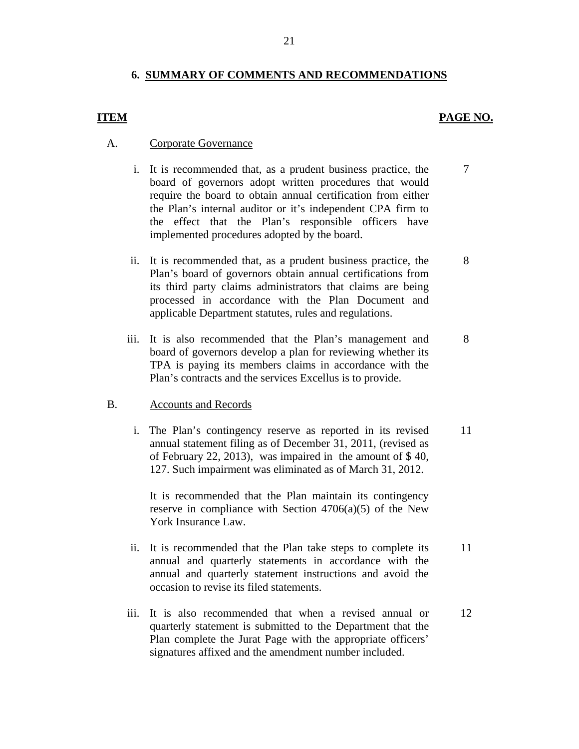## **6. SUMMARY OF COMMENTS AND RECOMMENDATIONS**

### **ITEM PAGE NO.**

7

8

12

### A. Corporate Governance

- i. It is recommended that, as a prudent business practice, the board of governors adopt written procedures that would require the board to obtain annual certification from either the Plan's internal auditor or it's independent CPA firm to the effect that the Plan's responsible officers have implemented procedures adopted by the board.
- ii. It is recommended that, as a prudent business practice, the Plan's board of governors obtain annual certifications from its third party claims administrators that claims are being processed in accordance with the Plan Document and applicable Department statutes, rules and regulations.
- iii. It is also recommended that the Plan's management and board of governors develop a plan for reviewing whether its TPA is paying its members claims in accordance with the Plan's contracts and the services Excellus is to provide. 8

### B. Accounts and Records

i. The Plan's contingency reserve as reported in its revised annual statement filing as of December 31, 2011, (revised as of February 22, 2013), was impaired in the amount of \$ 40, 127. Such impairment was eliminated as of March 31, 2012. 11

It is recommended that the Plan maintain its contingency reserve in compliance with Section  $4706(a)(5)$  of the New York Insurance Law.

- ii. It is recommended that the Plan take steps to complete its annual and quarterly statements in accordance with the annual and quarterly statement instructions and avoid the occasion to revise its filed statements. 11
- iii. It is also recommended that when a revised annual or quarterly statement is submitted to the Department that the Plan complete the Jurat Page with the appropriate officers' signatures affixed and the amendment number included.

21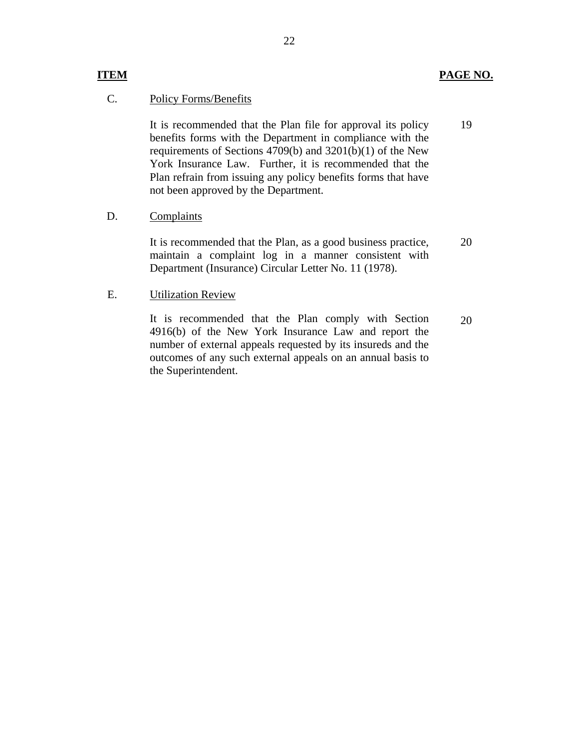19

### C. Policy Forms/Benefits

It is recommended that the Plan file for approval its policy benefits forms with the Department in compliance with the requirements of Sections 4709(b) and 3201(b)(1) of the New York Insurance Law. Further, it is recommended that the Plan refrain from issuing any policy benefits forms that have not been approved by the Department.

### D. Complaints

It is recommended that the Plan, as a good business practice, maintain a complaint log in a manner consistent with Department (Insurance) Circular Letter No. 11 (1978). 20

## E. Utilization Review

It is recommended that the Plan comply with Section 4916(b) of the New York Insurance Law and report the number of external appeals requested by its insureds and the outcomes of any such external appeals on an annual basis to the Superintendent. 20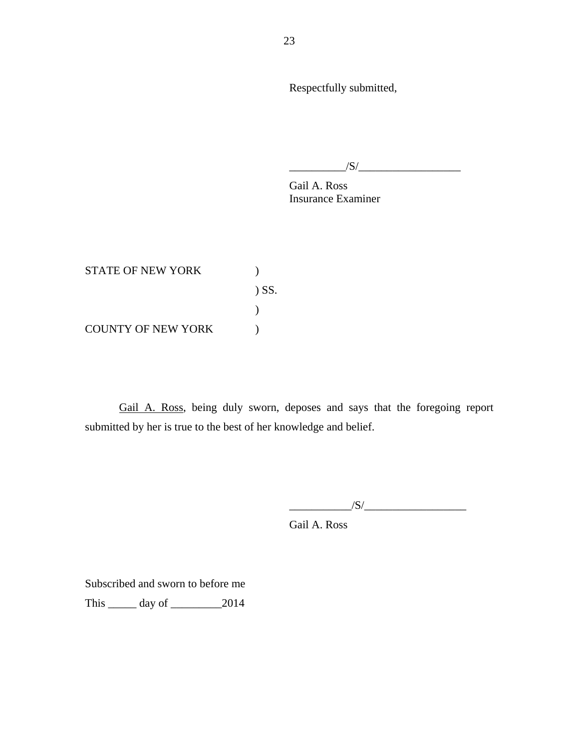Respectfully submitted,

 $/S/\sim$ 

Gail A. Ross Insurance Examiner

STATE OF NEW YORK  $)$ ) SS. ) COUNTY OF NEW YORK  $)$ 

Gail A. Ross, being duly sworn, deposes and says that the foregoing report submitted by her is true to the best of her knowledge and belief.

 $/S/$ 

Gail A. Ross

Subscribed and sworn to before me

This \_\_\_\_\_ day of \_\_\_\_\_\_\_\_\_2014